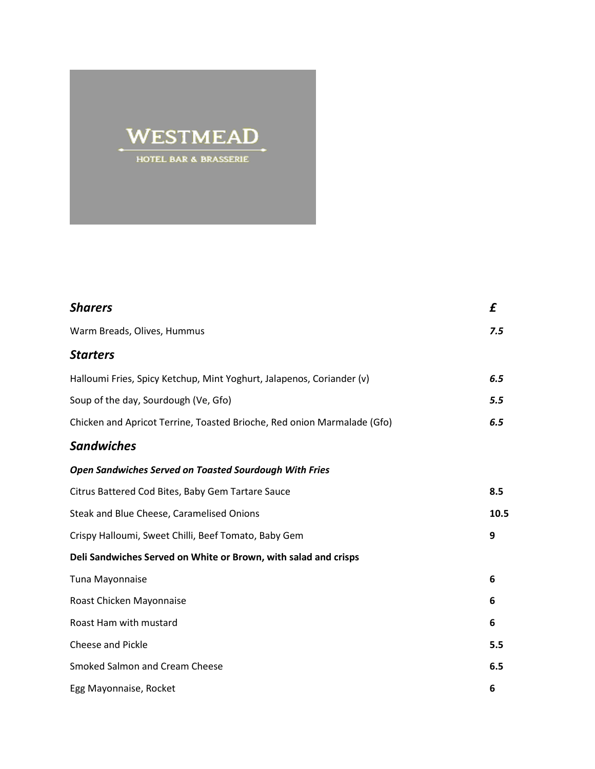## **WESTMEAD** HOTEL BAR & BRASSERIE

| <b>Sharers</b>                                                          | £    |
|-------------------------------------------------------------------------|------|
| Warm Breads, Olives, Hummus                                             | 7.5  |
| <b>Starters</b>                                                         |      |
| Halloumi Fries, Spicy Ketchup, Mint Yoghurt, Jalapenos, Coriander (v)   | 6.5  |
| Soup of the day, Sourdough (Ve, Gfo)                                    | 5.5  |
| Chicken and Apricot Terrine, Toasted Brioche, Red onion Marmalade (Gfo) | 6.5  |
| <b>Sandwiches</b>                                                       |      |
| <b>Open Sandwiches Served on Toasted Sourdough With Fries</b>           |      |
| Citrus Battered Cod Bites, Baby Gem Tartare Sauce                       | 8.5  |
| Steak and Blue Cheese, Caramelised Onions                               | 10.5 |
| Crispy Halloumi, Sweet Chilli, Beef Tomato, Baby Gem                    | 9    |
| Deli Sandwiches Served on White or Brown, with salad and crisps         |      |
| Tuna Mayonnaise                                                         | 6    |
| Roast Chicken Mayonnaise                                                | 6    |
| Roast Ham with mustard                                                  | 6    |
| <b>Cheese and Pickle</b>                                                | 5.5  |
| <b>Smoked Salmon and Cream Cheese</b>                                   | 6.5  |
| Egg Mayonnaise, Rocket                                                  | 6    |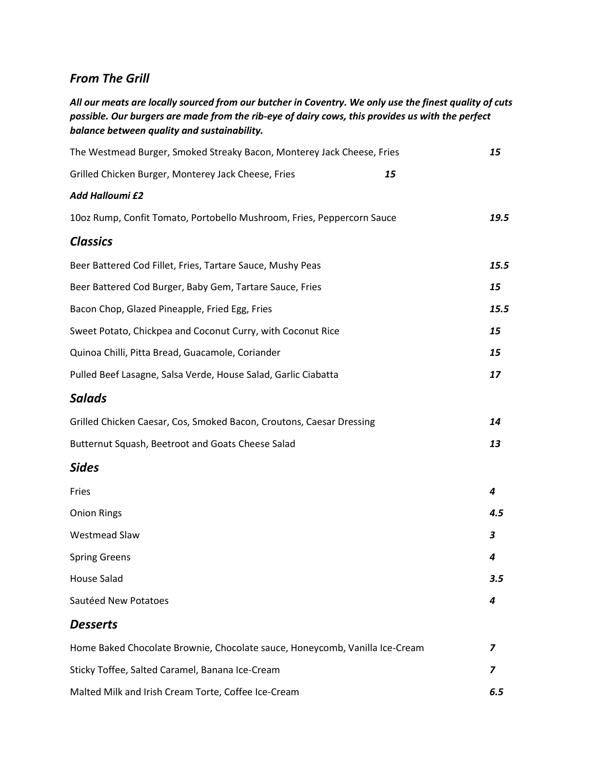## *From The Grill*

*All our meats are locally sourced from our butcher in Coventry. We only use the finest quality of cuts possible. Our burgers are made from the rib-eye of dairy cows, this provides us with the perfect balance between quality and sustainability.*

| The Westmead Burger, Smoked Streaky Bacon, Monterey Jack Cheese, Fries      |      |
|-----------------------------------------------------------------------------|------|
| Grilled Chicken Burger, Monterey Jack Cheese, Fries                         | 15   |
| <b>Add Halloumi £2</b>                                                      |      |
| 10oz Rump, Confit Tomato, Portobello Mushroom, Fries, Peppercorn Sauce      | 19.5 |
| <b>Classics</b>                                                             |      |
| Beer Battered Cod Fillet, Fries, Tartare Sauce, Mushy Peas                  | 15.5 |
| Beer Battered Cod Burger, Baby Gem, Tartare Sauce, Fries                    | 15   |
| Bacon Chop, Glazed Pineapple, Fried Egg, Fries                              | 15.5 |
| Sweet Potato, Chickpea and Coconut Curry, with Coconut Rice                 | 15   |
| Quinoa Chilli, Pitta Bread, Guacamole, Coriander                            | 15   |
| Pulled Beef Lasagne, Salsa Verde, House Salad, Garlic Ciabatta              | 17   |
| <b>Salads</b>                                                               |      |
| Grilled Chicken Caesar, Cos, Smoked Bacon, Croutons, Caesar Dressing        | 14   |
| Butternut Squash, Beetroot and Goats Cheese Salad                           | 13   |
| <b>Sides</b>                                                                |      |
| Fries                                                                       | 4    |
| <b>Onion Rings</b>                                                          | 4.5  |
| <b>Westmead Slaw</b>                                                        | 3    |
| <b>Spring Greens</b>                                                        | 4    |
| House Salad                                                                 | 3.5  |
| Sautéed New Potatoes                                                        | 4    |
| <b>Desserts</b>                                                             |      |
| Home Baked Chocolate Brownie, Chocolate sauce, Honeycomb, Vanilla Ice-Cream | 7    |
| Sticky Toffee, Salted Caramel, Banana Ice-Cream                             | 7    |
| Malted Milk and Irish Cream Torte, Coffee Ice-Cream                         | 6.5  |